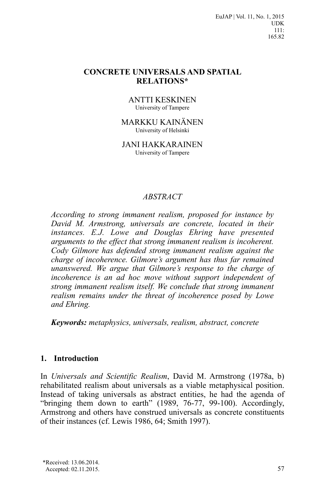EuJAP | Vol. 11, No. 1, 2015 UDK 111: 165.82

#### **CONCRETE UNIVERSALS AND SPATIAL RELATIONS\***

ANTTI KESKINEN University of Tampere

MARKKU KAINÄNEN University of Helsinki

JANI HAKKARAINEN University of Tampere

#### *ABSTRACT*

*According to strong immanent realism, proposed for instance by David M. Armstrong, universals are concrete, located in their instances. E.J. Lowe and Douglas Ehring have presented arguments to the effect that strong immanent realism is incoherent. Cody Gilmore has defended strong immanent realism against the charge of incoherence. Gilmore's argument has thus far remained unanswered. We argue that Gilmore's response to the charge of incoherence is an ad hoc move without support independent of strong immanent realism itself. We conclude that strong immanent realism remains under the threat of incoherence posed by Lowe and Ehring.*

*Keywords: metaphysics, universals, realism, abstract, concrete*

### **1. Introduction**

In *Universals and Scientific Realism*, David M. Armstrong (1978a, b) rehabilitated realism about universals as a viable metaphysical position. Instead of taking universals as abstract entities, he had the agenda of "bringing them down to earth" (1989, 76-77, 99-100). Accordingly, Armstrong and others have construed universals as concrete constituents of their instances (cf. Lewis 1986, 64; Smith 1997).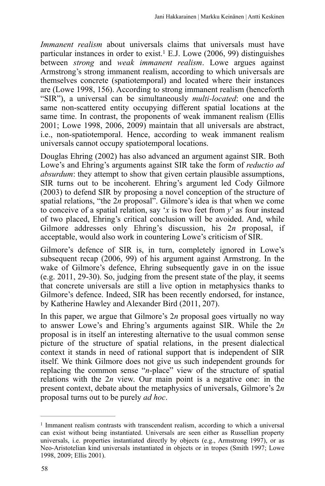*Immanent realism* about universals claims that universals must have particular instances in order to exist.<sup>1</sup> E.J. Lowe (2006, 99) distinguishes between *strong* and *weak immanent realism*. Lowe argues against Armstrong's strong immanent realism, according to which universals are themselves concrete (spatiotemporal) and located where their instances are (Lowe 1998, 156). According to strong immanent realism (henceforth "SIR"), a universal can be simultaneously *multi-located*: one and the same non-scattered entity occupying different spatial locations at the same time. In contrast, the proponents of weak immanent realism (Ellis 2001; Lowe 1998, 2006, 2009) maintain that all universals are abstract, i.e., non-spatiotemporal. Hence, according to weak immanent realism universals cannot occupy spatiotemporal locations.

Douglas Ehring (2002) has also advanced an argument against SIR. Both Lowe's and Ehring's arguments against SIR take the form of *reductio ad absurdum*: they attempt to show that given certain plausible assumptions, SIR turns out to be incoherent. Ehring's argument led Cody Gilmore (2003) to defend SIR by proposing a novel conception of the structure of spatial relations, "the 2*n* proposal". Gilmore's idea is that when we come to conceive of a spatial relation, say '*x* is two feet from *y*' as four instead of two placed, Ehring's critical conclusion will be avoided. And, while Gilmore addresses only Ehring's discussion, his 2*n* proposal, if acceptable, would also work in countering Lowe's criticism of SIR.

Gilmore's defence of SIR is, in turn, completely ignored in Lowe's subsequent recap (2006, 99) of his argument against Armstrong. In the wake of Gilmore's defence, Ehring subsequently gave in on the issue (e.g. 2011, 29-30). So, judging from the present state of the play, it seems that concrete universals are still a live option in metaphysics thanks to Gilmore's defence. Indeed, SIR has been recently endorsed, for instance, by Katherine Hawley and Alexander Bird (2011, 207).

In this paper, we argue that Gilmore's 2*n* proposal goes virtually no way to answer Lowe's and Ehring's arguments against SIR. While the 2*n* proposal is in itself an interesting alternative to the usual common sense picture of the structure of spatial relations, in the present dialectical context it stands in need of rational support that is independent of SIR itself. We think Gilmore does not give us such independent grounds for replacing the common sense "*n*-place" view of the structure of spatial relations with the 2*n* view. Our main point is a negative one: in the present context, debate about the metaphysics of universals, Gilmore's 2*n* proposal turns out to be purely *ad hoc*.

 $<sup>1</sup>$  Immanent realism contrasts with transcendent realism, according to which a universal</sup> can exist without being instantiated. Universals are seen either as Russellian property universals, i.e. properties instantiated directly by objects (e.g., Armstrong 1997), or as Neo-Aristotelian kind universals instantiated in objects or in tropes (Smith 1997; Lowe 1998, 2009; Ellis 2001).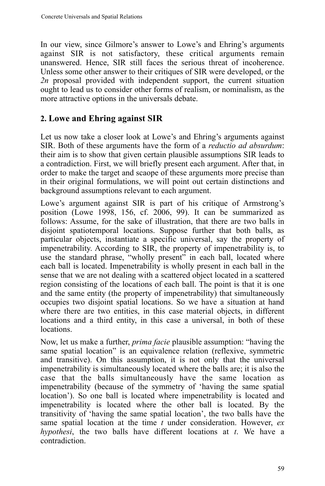In our view, since Gilmore's answer to Lowe's and Ehring's arguments against SIR is not satisfactory, these critical arguments remain unanswered. Hence, SIR still faces the serious threat of incoherence. Unless some other answer to their critiques of SIR were developed, or the 2n proposal provided with independent support, the current situation ought to lead us to consider other forms of realism, or nominalism, as the more attractive options in the universals debate.

# **2. Lowe and Ehring against SIR**

Let us now take a closer look at Lowe's and Ehring's arguments against SIR. Both of these arguments have the form of a *reductio ad absurdum*: their aim is to show that given certain plausible assumptions SIR leads to a contradiction. First, we will briefly present each argument. After that, in order to make the target and scaope of these arguments more precise than in their original formulations, we will point out certain distinctions and background assumptions relevant to each argument.

Lowe's argument against SIR is part of his critique of Armstrong's position (Lowe 1998, 156, cf. 2006, 99). It can be summarized as follows: Assume, for the sake of illustration, that there are two balls in disjoint spatiotemporal locations. Suppose further that both balls, as particular objects, instantiate a specific universal, say the property of impenetrability. According to SIR, the property of impenetrability is, to use the standard phrase, "wholly present" in each ball, located where each ball is located. Impenetrability is wholly present in each ball in the sense that we are not dealing with a scattered object located in a scattered region consisting of the locations of each ball. The point is that it is one and the same entity (the property of impenetrability) that simultaneously occupies two disjoint spatial locations. So we have a situation at hand where there are two entities, in this case material objects, in different locations and a third entity, in this case a universal, in both of these locations.

Now, let us make a further, *prima facie* plausible assumption: "having the same spatial location" is an equivalence relation (reflexive, symmetric and transitive). On this assumption, it is not only that the universal impenetrability is simultaneously located where the balls are; it is also the case that the balls simultaneously have the same location as impenetrability (because of the symmetry of 'having the same spatial location'). So one ball is located where impenetrability is located and impenetrability is located where the other ball is located. By the transitivity of 'having the same spatial location', the two balls have the same spatial location at the time *t* under consideration. However, *ex hypothesi*, the two balls have different locations at *t*. We have a contradiction.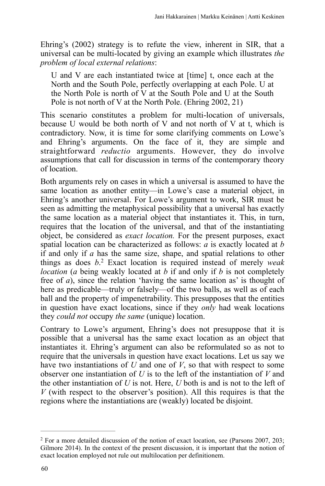Ehring's (2002) strategy is to refute the view, inherent in SIR, that a universal can be multi-located by giving an example which illustrates *the problem of local external relations*:

U and V are each instantiated twice at [time] t, once each at the North and the South Pole, perfectly overlapping at each Pole. U at the North Pole is north of V at the South Pole and U at the South Pole is not north of V at the North Pole. (Ehring 2002, 21)

This scenario constitutes a problem for multi-location of universals, because U would be both north of V and not north of V at t, which is contradictory. Now, it is time for some clarifying comments on Lowe's and Ehring's arguments. On the face of it, they are simple and straightforward *reductio* arguments. However, they do involve assumptions that call for discussion in terms of the contemporary theory of location.

Both arguments rely on cases in which a universal is assumed to have the same location as another entity—in Lowe's case a material object, in Ehring's another universal. For Lowe's argument to work, SIR must be seen as admitting the metaphysical possibility that a universal has exactly the same location as a material object that instantiates it. This, in turn, requires that the location of the universal, and that of the instantiating object, be considered as *exact location.* For the present purposes, exact spatial location can be characterized as follows: *a* is exactly located at *b* if and only if *a* has the same size, shape, and spatial relations to other things as does  $b<sup>2</sup>$  Exact location is required instead of merely *weak location* (*a* being weakly located at *b* if and only if *b* is not completely free of *a*), since the relation 'having the same location as' is thought of here as predicable—truly or falsely—of the two balls, as well as of each ball and the property of impenetrability. This presupposes that the entities in question have exact locations, since if they *only* had weak locations they *could not* occupy *the same* (unique) location.

Contrary to Lowe's argument, Ehring's does not presuppose that it is possible that a universal has the same exact location as an object that instantiates it. Ehring's argument can also be reformulated so as not to require that the universals in question have exact locations. Let us say we have two instantiations of *U* and one of *V*, so that with respect to some observer one instantiation of *U* is to the left of the instantiation of *V* and the other instantiation of *U* is not. Here, *U* both is and is not to the left of *V* (with respect to the observer's position). All this requires is that the regions where the instantiations are (weakly) located be disjoint.

<sup>&</sup>lt;sup>2</sup> For a more detailed discussion of the notion of exact location, see (Parsons 2007, 203; Gilmore 2014). In the context of the present discussion, it is important that the notion of exact location employed not rule out multilocation per definitionem.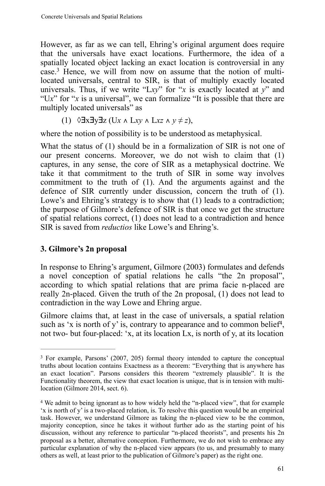However, as far as we can tell, Ehring's original argument does require that the universals have exact locations. Furthermore, the idea of a spatially located object lacking an exact location is controversial in any  $\text{case.}^3$  Hence, we will from now on assume that the notion of multilocated universals, central to SIR, is that of multiply exactly located universals. Thus, if we write "L*xy*" for "*x* is exactly located at *y*" and "U*x*" for "*x* is a universal", we can formalize "It is possible that there are multiply located universals" as

(1) 
$$
\sqrt{3}x \sqrt{3}y \sqrt{3}z
$$
 (Ux  $\wedge$  Lxy  $\wedge$  Lxz  $\wedge$  y  $\neq$  z),

where the notion of possibility is to be understood as metaphysical.

What the status of (1) should be in a formalization of SIR is not one of our present concerns. Moreover, we do not wish to claim that (1) captures, in any sense, the core of SIR as a metaphysical doctrine. We take it that commitment to the truth of SIR in some way involves commitment to the truth of (1). And the arguments against and the defence of SIR currently under discussion, concern the truth of (1). Lowe's and Ehring's strategy is to show that (1) leads to a contradiction; the purpose of Gilmore's defence of SIR is that once we get the structure of spatial relations correct, (1) does not lead to a contradiction and hence SIR is saved from *reductios* like Lowe's and Ehring's.

## **3. Gilmore's 2n proposal**

In response to Ehring's argument, Gilmore (2003) formulates and defends a novel conception of spatial relations he calls "the 2n proposal", according to which spatial relations that are prima facie n-placed are really 2n-placed. Given the truth of the 2n proposal, (1) does not lead to contradiction in the way Lowe and Ehring argue.

Gilmore claims that, at least in the case of universals, a spatial relation such as 'x is north of y' is, contrary to appearance and to common belief<sup>4</sup>, not two- but four-placed: 'x, at its location Lx, is north of y, at its location

<sup>&</sup>lt;sup>3</sup> For example, Parsons' (2007, 205) formal theory intended to capture the conceptual truths about location contains Exactness as a theorem: "Everything that is anywhere has an exact location". Parsons considers this theorem "extremely plausible". It is the Functionality theorem, the view that exact location is unique, that is in tension with multilocation (Gilmore 2014, sect. 6).

<sup>&</sup>lt;sup>4</sup> We admit to being ignorant as to how widely held the "n-placed view", that for example 'x is north of y' is a two-placed relation, is. To resolve this question would be an empirical task. However, we understand Gilmore as taking the n-placed view to be the common, majority conception, since he takes it without further ado as the starting point of his discussion, without any reference to particular "n-placed theorists", and presents his 2n proposal as a better, alternative conception. Furthermore, we do not wish to embrace any particular explanation of why the n-placed view appears (to us, and presumably to many others as well, at least prior to the publication of Gilmore's paper) as the right one.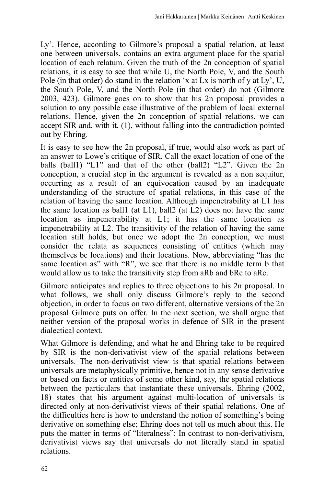Ly'. Hence, according to Gilmore's proposal a spatial relation, at least one between universals, contains an extra argument place for the spatial location of each relatum. Given the truth of the 2n conception of spatial relations, it is easy to see that while U, the North Pole,  $\vec{V}$ , and the South Pole (in that order) do stand in the relation 'x at Lx is north of y at Ly', U, the South Pole, V, and the North Pole (in that order) do not (Gilmore 2003, 423). Gilmore goes on to show that his 2n proposal provides a solution to any possible case illustrative of the problem of local external relations. Hence, given the 2n conception of spatial relations, we can accept SIR and, with it, (1), without falling into the contradiction pointed out by Ehring.

It is easy to see how the 2n proposal, if true, would also work as part of an answer to Lowe's critique of SIR. Call the exact location of one of the balls (ball1) "L1" and that of the other (ball2) "L2". Given the 2n conception, a crucial step in the argument is revealed as a non sequitur, occurring as a result of an equivocation caused by an inadequate understanding of the structure of spatial relations, in this case of the relation of having the same location. Although impenetrability at L1 has the same location as ball1 (at L1), ball2 (at L2) does not have the same location as impenetrability at L1; it has the same location as impenetrability at L2. The transitivity of the relation of having the same location still holds, but once we adopt the 2n conception, we must consider the relata as sequences consisting of entities (which may themselves be locations) and their locations. Now, abbreviating "has the same location as" with "R", we see that there is no middle term b that would allow us to take the transitivity step from aRb and bRc to aRc.

Gilmore anticipates and replies to three objections to his 2n proposal. In what follows, we shall only discuss Gilmore's reply to the second objection, in order to focus on two different, alternative versions of the 2n proposal Gilmore puts on offer. In the next section, we shall argue that neither version of the proposal works in defence of SIR in the present dialectical context.

What Gilmore is defending, and what he and Ehring take to be required by SIR is the non-derivativist view of the spatial relations between universals. The non-derivativist view is that spatial relations between universals are metaphysically primitive, hence not in any sense derivative or based on facts or entities of some other kind, say, the spatial relations between the particulars that instantiate these universals. Ehring (2002, 18) states that his argument against multi-location of universals is directed only at non-derivativist views of their spatial relations. One of the difficulties here is how to understand the notion of something's being derivative on something else; Ehring does not tell us much about this. He puts the matter in terms of "literalness": In contrast to non-derivativism, derivativist views say that universals do not literally stand in spatial relations.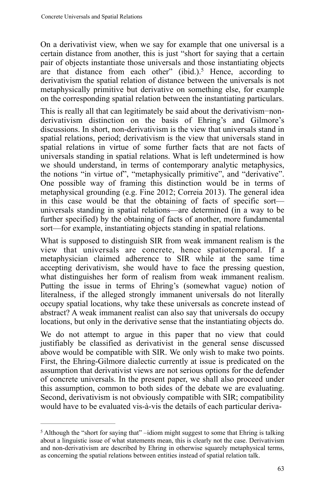On a derivativist view, when we say for example that one universal is a certain distance from another, this is just "short for saying that a certain pair of objects instantiate those universals and those instantiating objects are that distance from each other" (ibid.).<sup>5</sup> Hence, according to derivativism the spatial relation of distance between the universals is not metaphysically primitive but derivative on something else, for example on the corresponding spatial relation between the instantiating particulars.

This is really all that can legitimately be said about the derivativism−nonderivativism distinction on the basis of Ehring's and Gilmore's discussions. In short, non-derivativism is the view that universals stand in spatial relations, period; derivativism is the view that universals stand in spatial relations in virtue of some further facts that are not facts of universals standing in spatial relations. What is left undetermined is how we should understand, in terms of contemporary analytic metaphysics, the notions "in virtue of", "metaphysically primitive", and "derivative". One possible way of framing this distinction would be in terms of metaphysical grounding (e.g. Fine 2012; Correia 2013). The general idea in this case would be that the obtaining of facts of specific sort universals standing in spatial relations—are determined (in a way to be further specified) by the obtaining of facts of another, more fundamental sort—for example, instantiating objects standing in spatial relations.

What is supposed to distinguish SIR from weak immanent realism is the view that universals are concrete, hence spatiotemporal. If a metaphysician claimed adherence to SIR while at the same time accepting derivativism, she would have to face the pressing question, what distinguishes her form of realism from weak immanent realism. Putting the issue in terms of Ehring's (somewhat vague) notion of literalness, if the alleged strongly immanent universals do not literally occupy spatial locations, why take these universals as concrete instead of abstract? A weak immanent realist can also say that universals do occupy locations, but only in the derivative sense that the instantiating objects do.

We do not attempt to argue in this paper that no view that could justifiably be classified as derivativist in the general sense discussed above would be compatible with SIR. We only wish to make two points. First, the Ehring-Gilmore dialectic currently at issue is predicated on the assumption that derivativist views are not serious options for the defender of concrete universals. In the present paper, we shall also proceed under this assumption, common to both sides of the debate we are evaluating. Second, derivativism is not obviously compatible with SIR; compatibility would have to be evaluated vis-à-vis the details of each particular deriva-

<sup>&</sup>lt;sup>5</sup> Although the "short for saying that" –idiom might suggest to some that Ehring is talking about a linguistic issue of what statements mean, this is clearly not the case. Derivativism and non-derivativism are described by Ehring in otherwise squarely metaphysical terms, as concerning the spatial relations between entities instead of spatial relation talk.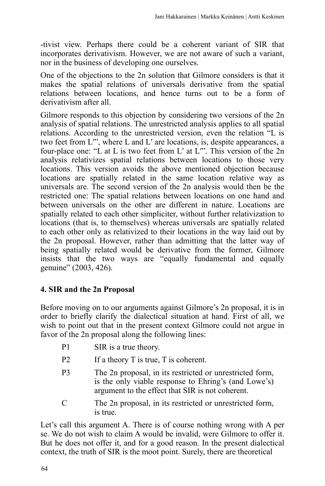-tivist view. Perhaps there could be a coherent variant of SIR that incorporates derivativism. However, we are not aware of such a variant, nor in the business of developing one ourselves.

One of the objections to the 2n solution that Gilmore considers is that it makes the spatial relations of universals derivative from the spatial relations between locations, and hence turns out to be a form of derivativism after all.

Gilmore responds to this objection by considering two versions of the 2n analysis of spatial relations. The unrestricted analysis applies to all spatial relations. According to the unrestricted version, even the relation "L is two feet from  $L^{\prime\prime}$ , where L and  $L^{\prime}$  are locations, is, despite appearances, a four-place one: "L at L is two feet from L' at L"'. This version of the 2n analysis relativizes spatial relations between locations to those very locations. This version avoids the above mentioned objection because locations are spatially related in the same location relative way as universals are. The second version of the 2n analysis would then be the restricted one: The spatial relations between locations on one hand and between universals on the other are different in nature. Locations are spatially related to each other simpliciter, without further relativization to locations (that is, to themselves) whereas universals are spatially related to each other only as relativized to their locations in the way laid out by the 2n proposal. However, rather than admitting that the latter way of being spatially related would be derivative from the former, Gilmore insists that the two ways are "equally fundamental and equally genuine" (2003, 426).

## **4. SIR and the 2n Proposal**

Before moving on to our arguments against Gilmore's 2n proposal, it is in order to briefly clarify the dialectical situation at hand. First of all, we wish to point out that in the present context Gilmore could not argue in favor of the 2n proposal along the following lines:

- P1 SIR is a true theory.
- P2 If a theory T is true, T is coherent.
- P3 The 2n proposal, in its restricted or unrestricted form, is the only viable response to Ehring's (and Lowe's) argument to the effect that SIR is not coherent.
- C The 2n proposal, in its restricted or unrestricted form, is true.

Let's call this argument A. There is of course nothing wrong with A per se. We do not wish to claim A would be invalid, were Gilmore to offer it. But he does not offer it, and for a good reason. In the present dialectical context, the truth of SIR is the moot point. Surely, there are theoretical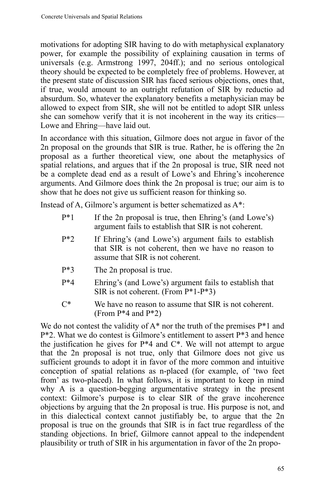motivations for adopting SIR having to do with metaphysical explanatory power, for example the possibility of explaining causation in terms of universals (e.g. Armstrong 1997, 204ff.); and no serious ontological theory should be expected to be completely free of problems. However, at the present state of discussion SIR has faced serious objections, ones that, if true, would amount to an outright refutation of SIR by reductio ad absurdum. So, whatever the explanatory benefits a metaphysician may be allowed to expect from SIR, she will not be entitled to adopt SIR unless she can somehow verify that it is not incoherent in the way its critics— Lowe and Ehring—have laid out.

In accordance with this situation, Gilmore does not argue in favor of the 2n proposal on the grounds that SIR is true. Rather, he is offering the 2n proposal as a further theoretical view, one about the metaphysics of spatial relations, and argues that if the 2n proposal is true, SIR need not be a complete dead end as a result of Lowe's and Ehring's incoherence arguments. And Gilmore does think the 2n proposal is true; our aim is to show that he does not give us sufficient reason for thinking so.

Instead of A, Gilmore's argument is better schematized as A\*:

- P\*1 If the 2n proposal is true, then Ehring's (and Lowe's) argument fails to establish that SIR is not coherent.
- P\*2 If Ehring's (and Lowe's) argument fails to establish that SIR is not coherent, then we have no reason to assume that SIR is not coherent.
- P\*3 The 2n proposal is true.
- P\*4 Ehring's (and Lowe's) argument fails to establish that SIR is not coherent. (From P\*1-P\*3)
- C\* We have no reason to assume that SIR is not coherent. (From P\*4 and P\*2)

We do not contest the validity of  $A^*$  nor the truth of the premises  $P^*1$  and P\*2. What we do contest is Gilmore's entitlement to assert P\*3 and hence the justification he gives for  $P^*4$  and  $C^*$ . We will not attempt to argue that the 2n proposal is not true, only that Gilmore does not give us sufficient grounds to adopt it in favor of the more common and intuitive conception of spatial relations as n-placed (for example, of 'two feet from' as two-placed). In what follows, it is important to keep in mind why A is a question-begging argumentative strategy in the present context: Gilmore's purpose is to clear SIR of the grave incoherence objections by arguing that the 2n proposal is true. His purpose is not, and in this dialectical context cannot justifiably be, to argue that the 2n proposal is true on the grounds that SIR is in fact true regardless of the standing objections. In brief, Gilmore cannot appeal to the independent plausibility or truth of SIR in his argumentation in favor of the 2n propo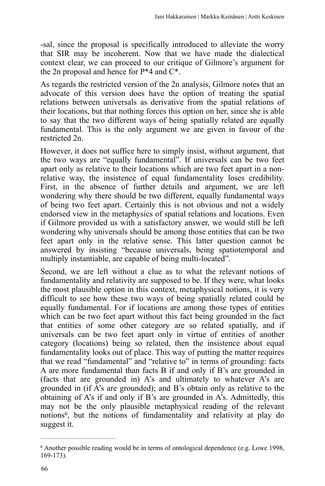-sal, since the proposal is specifically introduced to alleviate the worry that SIR may be incoherent. Now that we have made the dialectical context clear, we can proceed to our critique of Gilmore's argument for the 2n proposal and hence for P\*4 and C\*.

As regards the restricted version of the 2n analysis, Gilmore notes that an advocate of this version does have the option of treating the spatial relations between universals as derivative from the spatial relations of their locations, but that nothing forces this option on her, since she is able to say that the two different ways of being spatially related are equally fundamental. This is the only argument we are given in favour of the restricted 2n.

However, it does not suffice here to simply insist, without argument, that the two ways are "equally fundamental". If universals can be two feet apart only as relative to their locations which are two feet apart in a nonrelative way, the insistence of equal fundamentality loses credibility. First, in the absence of further details and argument, we are left wondering why there should be two different, equally fundamental ways of being two feet apart. Certainly this is not obvious and not a widely endorsed view in the metaphysics of spatial relations and locations. Even if Gilmore provided us with a satisfactory answer, we would still be left wondering why universals should be among those entities that can be two feet apart only in the relative sense. This latter question cannot be answered by insisting "because universals, being spatiotemporal and multiply instantiable, are capable of being multi-located".

Second, we are left without a clue as to what the relevant notions of fundamentality and relativity are supposed to be. If they were, what looks the most plausible option in this context, metaphysical notions, it is very difficult to see how these two ways of being spatially related could be equally fundamental. For if locations are among those types of entities which can be two feet apart without this fact being grounded in the fact that entities of some other category are so related spatially, and if universals can be two feet apart only in virtue of entities of another category (locations) being so related, then the insistence about equal fundamentality looks out of place. This way of putting the matter requires that we read "fundamental" and "relative to" in terms of grounding: facts A are more fundamental than facts B if and only if B's are grounded in (facts that are grounded in) A's and ultimately to whatever A's are grounded in (if A's are grounded); and B's obtain only as relative to the obtaining of A's if and only if B's are grounded in A's. Admittedly, this may not be the only plausible metaphysical reading of the relevant notions<sup>6</sup>, but the notions of fundamentality and relativity at play do suggest it.

 $6$  Another possible reading would be in terms of ontological dependence (e.g. Lowe 1998, 169-173).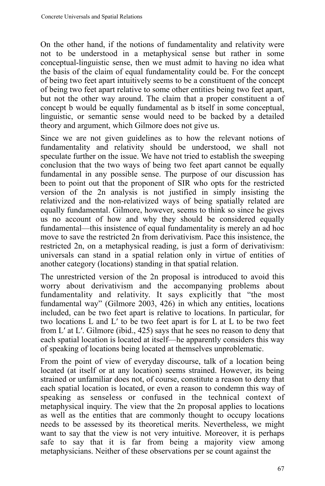On the other hand, if the notions of fundamentality and relativity were not to be understood in a metaphysical sense but rather in some conceptual-linguistic sense, then we must admit to having no idea what the basis of the claim of equal fundamentality could be. For the concept of being two feet apart intuitively seems to be a constituent of the concept of being two feet apart relative to some other entities being two feet apart, but not the other way around. The claim that a proper constituent a of concept b would be equally fundamental as b itself in some conceptual, linguistic, or semantic sense would need to be backed by a detailed theory and argument, which Gilmore does not give us.

Since we are not given guidelines as to how the relevant notions of fundamentality and relativity should be understood, we shall not speculate further on the issue. We have not tried to establish the sweeping conclusion that the two ways of being two feet apart cannot be equally fundamental in any possible sense. The purpose of our discussion has been to point out that the proponent of SIR who opts for the restricted version of the 2n analysis is not justified in simply insisting the relativized and the non-relativized ways of being spatially related are equally fundamental. Gilmore, however, seems to think so since he gives us no account of how and why they should be considered equally fundamental—this insistence of equal fundamentality is merely an ad hoc move to save the restricted 2n from derivativism. Pace this insistence, the restricted 2n, on a metaphysical reading, is just a form of derivativism: universals can stand in a spatial relation only in virtue of entities of another category (locations) standing in that spatial relation.

The unrestricted version of the 2n proposal is introduced to avoid this worry about derivativism and the accompanying problems about fundamentality and relativity. It says explicitly that "the most fundamental way" (Gilmore 2003, 426) in which any entities, locations included, can be two feet apart is relative to locations. In particular, for two locations L and L′ to be two feet apart is for L at L to be two feet from L′ at L′. Gilmore (ibid., 425) says that he sees no reason to deny that each spatial location is located at itself—he apparently considers this way of speaking of locations being located at themselves unproblematic.

From the point of view of everyday discourse, talk of a location being located (at itself or at any location) seems strained. However, its being strained or unfamiliar does not, of course, constitute a reason to deny that each spatial location is located, or even a reason to condemn this way of speaking as senseless or confused in the technical context of metaphysical inquiry. The view that the 2n proposal applies to locations as well as the entities that are commonly thought to occupy locations needs to be assessed by its theoretical merits. Nevertheless, we might want to say that the view is not very intuitive. Moreover, it is perhaps safe to say that it is far from being a majority view among metaphysicians. Neither of these observations per se count against the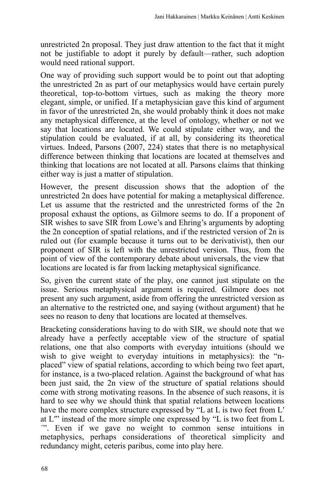unrestricted 2n proposal. They just draw attention to the fact that it might not be justifiable to adopt it purely by default—rather, such adoption would need rational support.

One way of providing such support would be to point out that adopting the unrestricted 2n as part of our metaphysics would have certain purely theoretical, top-to-bottom virtues, such as making the theory more elegant, simple, or unified. If a metaphysician gave this kind of argument in favor of the unrestricted 2n, she would probably think it does not make any metaphysical difference, at the level of ontology, whether or not we say that locations are located. We could stipulate either way, and the stipulation could be evaluated, if at all, by considering its theoretical virtues. Indeed, Parsons (2007, 224) states that there is no metaphysical difference between thinking that locations are located at themselves and thinking that locations are not located at all. Parsons claims that thinking either way is just a matter of stipulation.

However, the present discussion shows that the adoption of the unrestricted 2n does have potential for making a metaphysical difference. Let us assume that the restricted and the unrestricted forms of the 2n proposal exhaust the options, as Gilmore seems to do. If a proponent of SIR wishes to save SIR from Lowe's and Ehring's arguments by adopting the 2n conception of spatial relations, and if the restricted version of 2n is ruled out (for example because it turns out to be derivativist), then our proponent of SIR is left with the unrestricted version. Thus, from the point of view of the contemporary debate about universals, the view that locations are located is far from lacking metaphysical significance.

So, given the current state of the play, one cannot just stipulate on the issue. Serious metaphysical argument is required. Gilmore does not present any such argument, aside from offering the unrestricted version as an alternative to the restricted one, and saying (without argument) that he sees no reason to deny that locations are located at themselves.

Bracketing considerations having to do with SIR, we should note that we already have a perfectly acceptable view of the structure of spatial relations, one that also comports with everyday intuitions (should we wish to give weight to everyday intuitions in metaphysics): the "nplaced" view of spatial relations, according to which being two feet apart, for instance, is a two-placed relation. Against the background of what has been just said, the 2n view of the structure of spatial relations should come with strong motivating reasons. In the absence of such reasons, it is hard to see why we should think that spatial relations between locations have the more complex structure expressed by "L at L is two feet from L′ at L′" instead of the more simple one expressed by "L is two feet from L ´". Even if we gave no weight to common sense intuitions in metaphysics, perhaps considerations of theoretical simplicity and redundancy might, ceteris paribus, come into play here.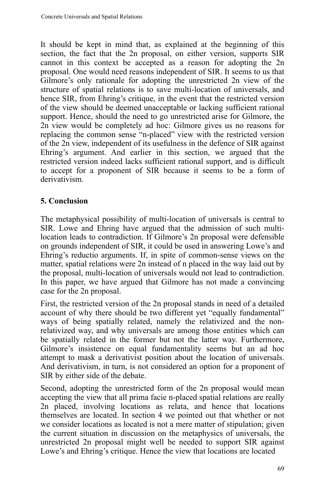It should be kept in mind that, as explained at the beginning of this section, the fact that the 2n proposal, on either version, supports SIR cannot in this context be accepted as a reason for adopting the 2n proposal. One would need reasons independent of SIR. It seems to us that Gilmore's only rationale for adopting the unrestricted 2n view of the structure of spatial relations is to save multi-location of universals, and hence SIR, from Ehring's critique, in the event that the restricted version of the view should be deemed unacceptable or lacking sufficient rational support. Hence, should the need to go unrestricted arise for Gilmore, the 2n view would be completely ad hoc: Gilmore gives us no reasons for replacing the common sense "n-placed" view with the restricted version of the 2n view, independent of its usefulness in the defence of SIR against Ehring's argument. And earlier in this section, we argued that the restricted version indeed lacks sufficient rational support, and is difficult to accept for a proponent of SIR because it seems to be a form of derivativism.

# **5. Conclusion**

The metaphysical possibility of multi-location of universals is central to SIR. Lowe and Ehring have argued that the admission of such multilocation leads to contradiction. If Gilmore's 2n proposal were defensible on grounds independent of SIR, it could be used in answering Lowe's and Ehring's reductio arguments. If, in spite of common-sense views on the matter, spatial relations were 2n instead of n placed in the way laid out by the proposal, multi-location of universals would not lead to contradiction. In this paper, we have argued that Gilmore has not made a convincing case for the 2n proposal.

First, the restricted version of the 2n proposal stands in need of a detailed account of why there should be two different yet "equally fundamental" ways of being spatially related, namely the relativized and the nonrelativized way, and why universals are among those entities which can be spatially related in the former but not the latter way. Furthermore, Gilmore's insistence on equal fundamentality seems but an ad hoc attempt to mask a derivativist position about the location of universals. And derivativism, in turn, is not considered an option for a proponent of SIR by either side of the debate.

Second, adopting the unrestricted form of the 2n proposal would mean accepting the view that all prima facie n-placed spatial relations are really 2n placed, involving locations as relata, and hence that locations themselves are located. In section 4 we pointed out that whether or not we consider locations as located is not a mere matter of stipulation; given the current situation in discussion on the metaphysics of universals, the unrestricted 2n proposal might well be needed to support SIR against Lowe's and Ehring's critique. Hence the view that locations are located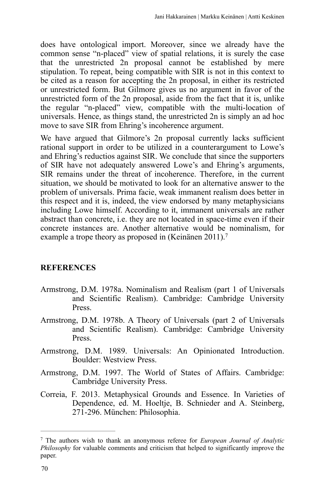does have ontological import. Moreover, since we already have the common sense "n-placed" view of spatial relations, it is surely the case that the unrestricted 2n proposal cannot be established by mere stipulation. To repeat, being compatible with SIR is not in this context to be cited as a reason for accepting the 2n proposal, in either its restricted or unrestricted form. But Gilmore gives us no argument in favor of the unrestricted form of the 2n proposal, aside from the fact that it is, unlike the regular "n-placed" view, compatible with the multi-location of universals. Hence, as things stand, the unrestricted 2n is simply an ad hoc move to save SIR from Ehring's incoherence argument.

We have argued that Gilmore's 2n proposal currently lacks sufficient rational support in order to be utilized in a counterargument to Lowe's and Ehring's reductios against SIR. We conclude that since the supporters of SIR have not adequately answered Lowe's and Ehring's arguments, SIR remains under the threat of incoherence. Therefore, in the current situation, we should be motivated to look for an alternative answer to the problem of universals. Prima facie, weak immanent realism does better in this respect and it is, indeed, the view endorsed by many metaphysicians including Lowe himself. According to it, immanent universals are rather abstract than concrete, i.e. they are not located in space-time even if their concrete instances are. Another alternative would be nominalism, for example a trope theory as proposed in (Keinänen 2011).7

### **REFERENCES**

- Armstrong, D.M. 1978a. Nominalism and Realism (part 1 of Universals and Scientific Realism). Cambridge: Cambridge University Press.
- Armstrong, D.M. 1978b. A Theory of Universals (part 2 of Universals and Scientific Realism). Cambridge: Cambridge University Press.
- Armstrong, D.M. 1989. Universals: An Opinionated Introduction. Boulder: Westview Press.
- Armstrong, D.M. 1997. The World of States of Affairs. Cambridge: Cambridge University Press.
- Correia, F. 2013. Metaphysical Grounds and Essence. In Varieties of Dependence, ed. M. Hoeltje, B. Schnieder and A. Steinberg, 271-296. München: Philosophia.

The authors wish to thank an anonymous referee for *European Journal of Analytic* <sup>7</sup> *Philosophy* for valuable comments and criticism that helped to significantly improve the paper.